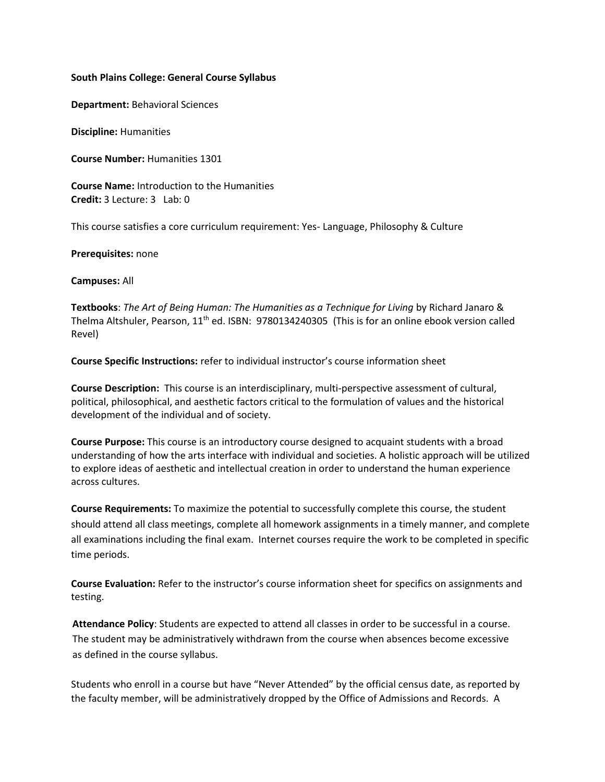#### **South Plains College: General Course Syllabus**

**Department:** Behavioral Sciences

**Discipline:** Humanities

**Course Number:** Humanities 1301

**Course Name:** Introduction to the Humanities **Credit:** 3 Lecture: 3 Lab: 0

This course satisfies a core curriculum requirement: Yes- Language, Philosophy & Culture

**Prerequisites:** none

**Campuses:** All

**Textbooks**: *The Art of Being Human: The Humanities as a Technique for Living* by Richard Janaro & Thelma Altshuler, Pearson, 11<sup>th</sup> ed. ISBN: 9780134240305 (This is for an online ebook version called Revel)

**Course Specific Instructions:** refer to individual instructor's course information sheet

**Course Description:** This course is an interdisciplinary, multi-perspective assessment of cultural, political, philosophical, and aesthetic factors critical to the formulation of values and the historical development of the individual and of society.

**Course Purpose:** This course is an introductory course designed to acquaint students with a broad understanding of how the arts interface with individual and societies. A holistic approach will be utilized to explore ideas of aesthetic and intellectual creation in order to understand the human experience across cultures.

**Course Requirements:** To maximize the potential to successfully complete this course, the student should attend all class meetings, complete all homework assignments in a timely manner, and complete all examinations including the final exam. Internet courses require the work to be completed in specific time periods.

**Course Evaluation:** Refer to the instructor's course information sheet for specifics on assignments and testing.

**Attendance Policy**: Students are expected to attend all classes in order to be successful in a course. The student may be administratively withdrawn from the course when absences become excessive as defined in the course syllabus.

Students who enroll in a course but have "Never Attended" by the official census date, as reported by the faculty member, will be administratively dropped by the Office of Admissions and Records. A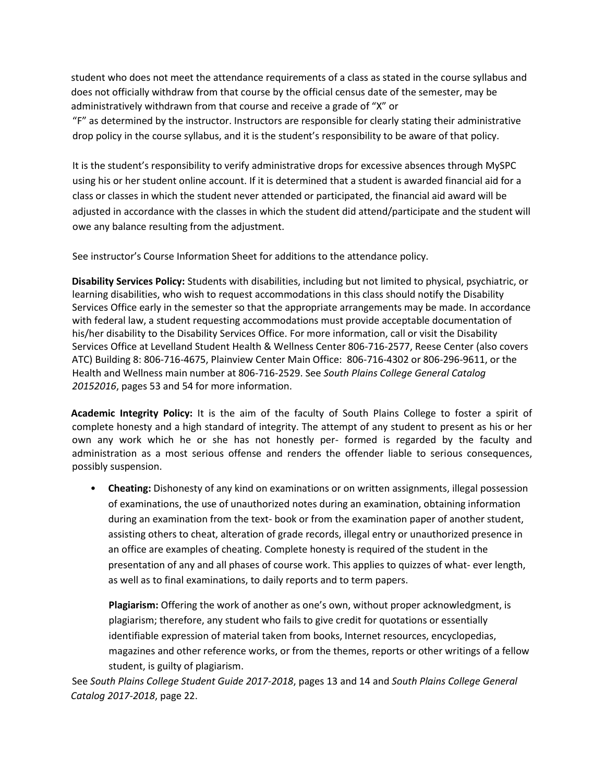student who does not meet the attendance requirements of a class as stated in the course syllabus and does not officially withdraw from that course by the official census date of the semester, may be administratively withdrawn from that course and receive a grade of "X" or "F" as determined by the instructor. Instructors are responsible for clearly stating their administrative drop policy in the course syllabus, and it is the student's responsibility to be aware of that policy.

It is the student's responsibility to verify administrative drops for excessive absences through MySPC using his or her student online account. If it is determined that a student is awarded financial aid for a class or classes in which the student never attended or participated, the financial aid award will be adjusted in accordance with the classes in which the student did attend/participate and the student will owe any balance resulting from the adjustment.

See instructor's Course Information Sheet for additions to the attendance policy.

**Disability Services Policy:** Students with disabilities, including but not limited to physical, psychiatric, or learning disabilities, who wish to request accommodations in this class should notify the Disability Services Office early in the semester so that the appropriate arrangements may be made. In accordance with federal law, a student requesting accommodations must provide acceptable documentation of his/her disability to the Disability Services Office. For more information, call or visit the Disability Services Office at Levelland Student Health & Wellness Center 806-716-2577, Reese Center (also covers ATC) Building 8: 806-716-4675, Plainview Center Main Office: 806-716-4302 or 806-296-9611, or the Health and Wellness main number at 806-716-2529. See *South Plains College General Catalog 20152016*, pages 53 and 54 for more information.

**Academic Integrity Policy:** It is the aim of the faculty of South Plains College to foster a spirit of complete honesty and a high standard of integrity. The attempt of any student to present as his or her own any work which he or she has not honestly per- formed is regarded by the faculty and administration as a most serious offense and renders the offender liable to serious consequences, possibly suspension.

• **Cheating:** Dishonesty of any kind on examinations or on written assignments, illegal possession of examinations, the use of unauthorized notes during an examination, obtaining information during an examination from the text- book or from the examination paper of another student, assisting others to cheat, alteration of grade records, illegal entry or unauthorized presence in an office are examples of cheating. Complete honesty is required of the student in the presentation of any and all phases of course work. This applies to quizzes of what- ever length, as well as to final examinations, to daily reports and to term papers.

**Plagiarism:** Offering the work of another as one's own, without proper acknowledgment, is plagiarism; therefore, any student who fails to give credit for quotations or essentially identifiable expression of material taken from books, Internet resources, encyclopedias, magazines and other reference works, or from the themes, reports or other writings of a fellow student, is guilty of plagiarism.

See *South Plains College Student Guide 2017-2018*, pages 13 and 14 and *South Plains College General Catalog 2017-2018*, page 22.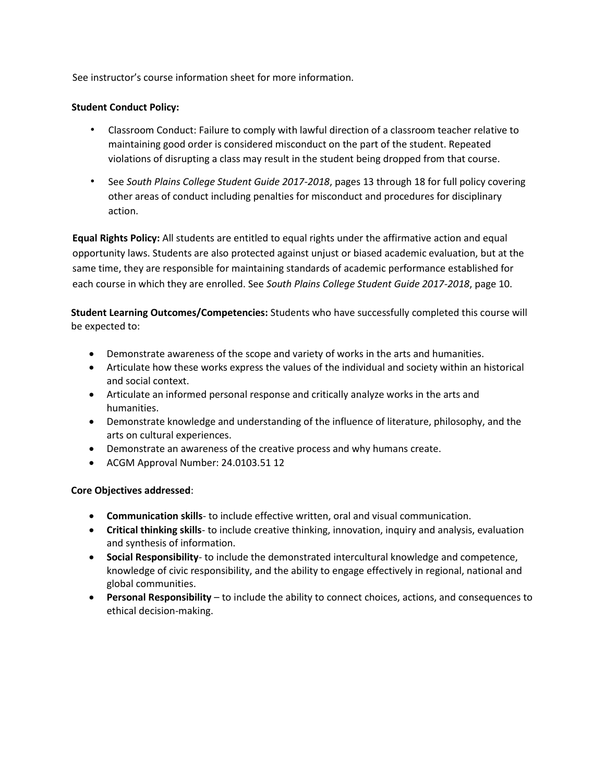See instructor's course information sheet for more information.

## **Student Conduct Policy:**

- Classroom Conduct: Failure to comply with lawful direction of a classroom teacher relative to maintaining good order is considered misconduct on the part of the student. Repeated violations of disrupting a class may result in the student being dropped from that course.
- See *South Plains College Student Guide 2017-2018*, pages 13 through 18 for full policy covering other areas of conduct including penalties for misconduct and procedures for disciplinary action.

**Equal Rights Policy:** All students are entitled to equal rights under the affirmative action and equal opportunity laws. Students are also protected against unjust or biased academic evaluation, but at the same time, they are responsible for maintaining standards of academic performance established for each course in which they are enrolled. See *South Plains College Student Guide 2017-2018*, page 10.

**Student Learning Outcomes/Competencies:** Students who have successfully completed this course will be expected to:

- Demonstrate awareness of the scope and variety of works in the arts and humanities.
- Articulate how these works express the values of the individual and society within an historical and social context.
- Articulate an informed personal response and critically analyze works in the arts and humanities.
- Demonstrate knowledge and understanding of the influence of literature, philosophy, and the arts on cultural experiences.
- Demonstrate an awareness of the creative process and why humans create.
- ACGM Approval Number: 24.0103.51 12

## **Core Objectives addressed**:

- **Communication skills** to include effective written, oral and visual communication.
- **Critical thinking skills** to include creative thinking, innovation, inquiry and analysis, evaluation and synthesis of information.
- **Social Responsibility** to include the demonstrated intercultural knowledge and competence, knowledge of civic responsibility, and the ability to engage effectively in regional, national and global communities.
- **Personal Responsibility**  to include the ability to connect choices, actions, and consequences to ethical decision-making.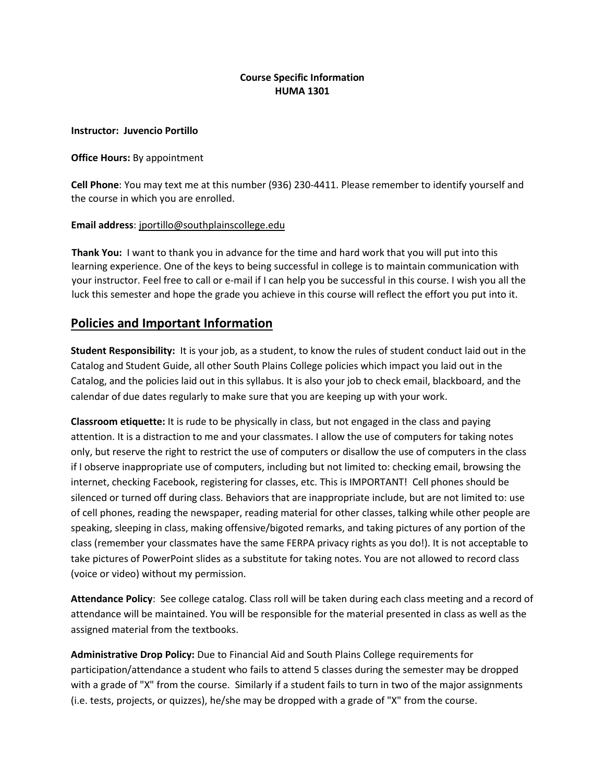## **Course Specific Information HUMA 1301**

## **Instructor: Juvencio Portillo**

## **Office Hours:** By appointment

**Cell Phone**: You may text me at this number (936) 230-4411. Please remember to identify yourself and the course in which you are enrolled.

## **Email address**[: jportillo@southplainscollege.edu](mailto:jportillo@southplainscollege.edu)

**Thank You:** I want to thank you in advance for the time and hard work that you will put into this learning experience. One of the keys to being successful in college is to maintain communication with your instructor. Feel free to call or e-mail if I can help you be successful in this course. I wish you all the luck this semester and hope the grade you achieve in this course will reflect the effort you put into it.

# **Policies and Important Information**

**Student Responsibility:** It is your job, as a student, to know the rules of student conduct laid out in the Catalog and Student Guide, all other South Plains College policies which impact you laid out in the Catalog, and the policies laid out in this syllabus. It is also your job to check email, blackboard, and the calendar of due dates regularly to make sure that you are keeping up with your work.

**Classroom etiquette:** It is rude to be physically in class, but not engaged in the class and paying attention. It is a distraction to me and your classmates. I allow the use of computers for taking notes only, but reserve the right to restrict the use of computers or disallow the use of computers in the class if I observe inappropriate use of computers, including but not limited to: checking email, browsing the internet, checking Facebook, registering for classes, etc. This is IMPORTANT! Cell phones should be silenced or turned off during class. Behaviors that are inappropriate include, but are not limited to: use of cell phones, reading the newspaper, reading material for other classes, talking while other people are speaking, sleeping in class, making offensive/bigoted remarks, and taking pictures of any portion of the class (remember your classmates have the same FERPA privacy rights as you do!). It is not acceptable to take pictures of PowerPoint slides as a substitute for taking notes. You are not allowed to record class (voice or video) without my permission.

**Attendance Policy**: See college catalog. Class roll will be taken during each class meeting and a record of attendance will be maintained. You will be responsible for the material presented in class as well as the assigned material from the textbooks.

**Administrative Drop Policy:** Due to Financial Aid and South Plains College requirements for participation/attendance a student who fails to attend 5 classes during the semester may be dropped with a grade of "X" from the course. Similarly if a student fails to turn in two of the major assignments (i.e. tests, projects, or quizzes), he/she may be dropped with a grade of "X" from the course.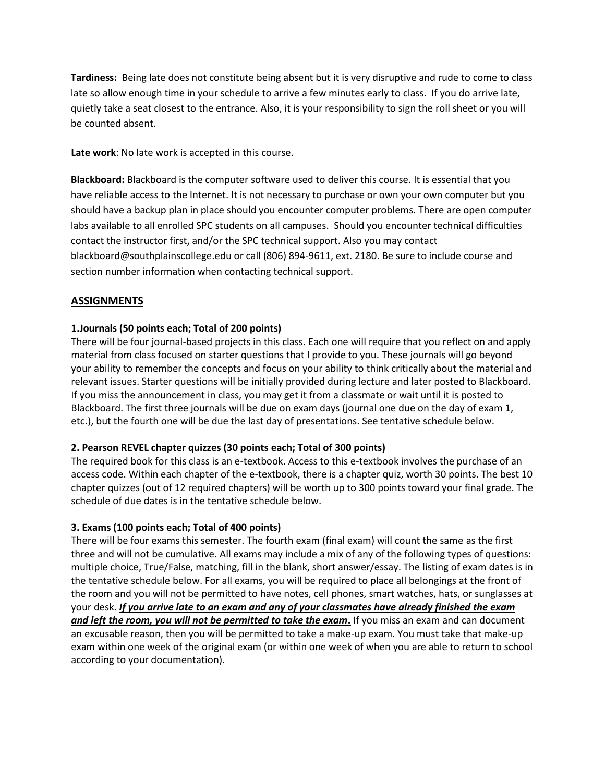**Tardiness:** Being late does not constitute being absent but it is very disruptive and rude to come to class late so allow enough time in your schedule to arrive a few minutes early to class. If you do arrive late, quietly take a seat closest to the entrance. Also, it is your responsibility to sign the roll sheet or you will be counted absent.

**Late work**: No late work is accepted in this course.

**Blackboard:** Blackboard is the computer software used to deliver this cours[e.](https://southplainscollege.blackboard.com/webapps/portal/frameset.jsp) It is essential that you have reliable access to the Internet. It is not necessary to purchase or own your own computer but you should have a backup plan in place should you encounter computer problems. There are open computer labs available to all enrolled SPC students on all campuses. Should you encounter technical difficulties contact the instructor first, and/or the SPC technical support. Also you may contact blackboard@southplainscollege.edu or call (806) 894-9611, ext. 2180. Be sure to include course and section number information when contacting technical support.

# **ASSIGNMENTS**

## **1.Journals (50 points each; Total of 200 points)**

There will be four journal-based projects in this class. Each one will require that you reflect on and apply material from class focused on starter questions that I provide to you. These journals will go beyond your ability to remember the concepts and focus on your ability to think critically about the material and relevant issues. Starter questions will be initially provided during lecture and later posted to Blackboard. If you miss the announcement in class, you may get it from a classmate or wait until it is posted to Blackboard. The first three journals will be due on exam days (journal one due on the day of exam 1, etc.), but the fourth one will be due the last day of presentations. See tentative schedule below.

## **2. Pearson REVEL chapter quizzes (30 points each; Total of 300 points)**

The required book for this class is an e-textbook. Access to this e-textbook involves the purchase of an access code. Within each chapter of the e-textbook, there is a chapter quiz, worth 30 points. The best 10 chapter quizzes (out of 12 required chapters) will be worth up to 300 points toward your final grade. The schedule of due dates is in the tentative schedule below.

## **3. Exams (100 points each; Total of 400 points)**

There will be four exams this semester. The fourth exam (final exam) will count the same as the first three and will not be cumulative. All exams may include a mix of any of the following types of questions: multiple choice, True/False, matching, fill in the blank, short answer/essay. The listing of exam dates is in the tentative schedule below. For all exams, you will be required to place all belongings at the front of the room and you will not be permitted to have notes, cell phones, smart watches, hats, or sunglasses at your desk. *If you arrive late to an exam and any of your classmates have already finished the exam and left the room, you will not be permitted to take the exam***.** If you miss an exam and can document an excusable reason, then you will be permitted to take a make-up exam. You must take that make-up exam within one week of the original exam (or within one week of when you are able to return to school according to your documentation).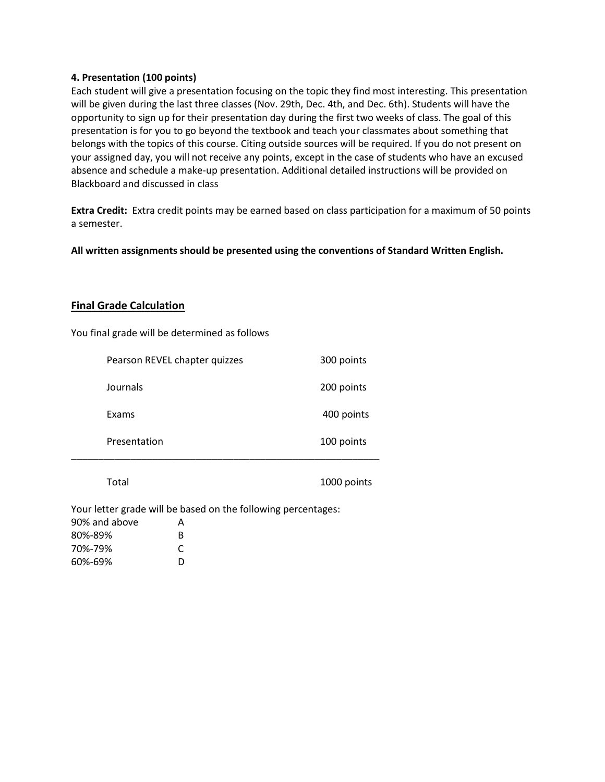## **4. Presentation (100 points)**

Each student will give a presentation focusing on the topic they find most interesting. This presentation will be given during the last three classes (Nov. 29th, Dec. 4th, and Dec. 6th). Students will have the opportunity to sign up for their presentation day during the first two weeks of class. The goal of this presentation is for you to go beyond the textbook and teach your classmates about something that belongs with the topics of this course. Citing outside sources will be required. If you do not present on your assigned day, you will not receive any points, except in the case of students who have an excused absence and schedule a make-up presentation. Additional detailed instructions will be provided on Blackboard and discussed in class

**Extra Credit:** Extra credit points may be earned based on class participation for a maximum of 50 points a semester.

**All written assignments should be presented using the conventions of Standard Written English.**

## **Final Grade Calculation**

You final grade will be determined as follows

| Pearson REVEL chapter quizzes | 300 points |
|-------------------------------|------------|
| Journals                      | 200 points |
| Exams                         | 400 points |
| Presentation                  | 100 points |
|                               |            |

Total 1000 points

Your letter grade will be based on the following percentages:

| A |
|---|
| R |
| C |
| D |
|   |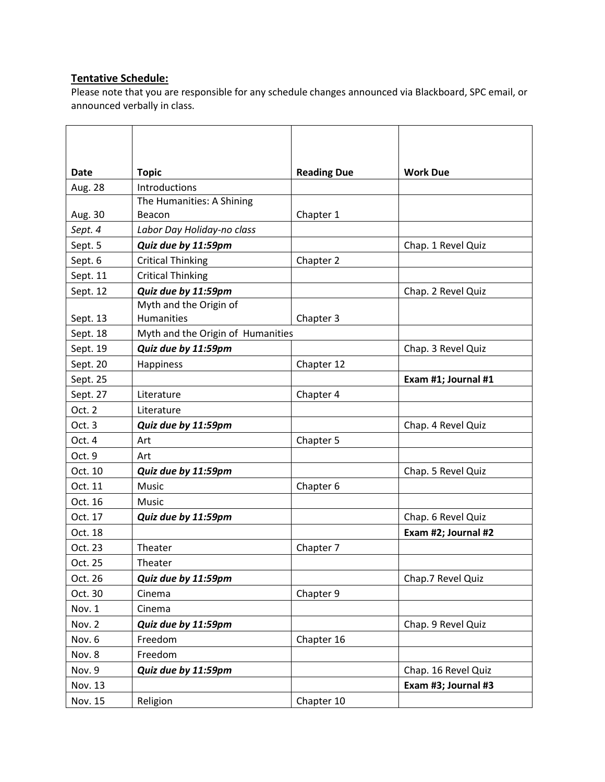# **Tentative Schedule:**

Please note that you are responsible for any schedule changes announced via Blackboard, SPC email, or announced verbally in class.

| Date     | <b>Topic</b>                      | <b>Reading Due</b> | <b>Work Due</b>     |  |
|----------|-----------------------------------|--------------------|---------------------|--|
| Aug. 28  | Introductions                     |                    |                     |  |
|          | The Humanities: A Shining         |                    |                     |  |
| Aug. 30  | Beacon                            | Chapter 1          |                     |  |
| Sept. 4  | Labor Day Holiday-no class        |                    |                     |  |
| Sept. 5  | Quiz due by 11:59pm               |                    | Chap. 1 Revel Quiz  |  |
| Sept. 6  | <b>Critical Thinking</b>          | Chapter 2          |                     |  |
| Sept. 11 | <b>Critical Thinking</b>          |                    |                     |  |
| Sept. 12 | Quiz due by 11:59pm               |                    | Chap. 2 Revel Quiz  |  |
|          | Myth and the Origin of            |                    |                     |  |
| Sept. 13 | Humanities                        | Chapter 3          |                     |  |
| Sept. 18 | Myth and the Origin of Humanities |                    |                     |  |
| Sept. 19 | Quiz due by 11:59pm               |                    | Chap. 3 Revel Quiz  |  |
| Sept. 20 | Happiness                         | Chapter 12         |                     |  |
| Sept. 25 |                                   |                    | Exam #1; Journal #1 |  |
| Sept. 27 | Literature                        | Chapter 4          |                     |  |
| Oct. 2   | Literature                        |                    |                     |  |
| Oct. 3   | Quiz due by 11:59pm               |                    | Chap. 4 Revel Quiz  |  |
| Oct. 4   | Art                               | Chapter 5          |                     |  |
| Oct. 9   | Art                               |                    |                     |  |
| Oct. 10  | Quiz due by 11:59pm               |                    | Chap. 5 Revel Quiz  |  |
| Oct. 11  | Music                             | Chapter 6          |                     |  |
| Oct. 16  | <b>Music</b>                      |                    |                     |  |
| Oct. 17  | Quiz due by 11:59pm               |                    | Chap. 6 Revel Quiz  |  |
| Oct. 18  |                                   |                    | Exam #2; Journal #2 |  |
| Oct. 23  | Theater                           | Chapter 7          |                     |  |
| Oct. 25  | Theater                           |                    |                     |  |
| Oct. 26  | Quiz due by 11:59pm               |                    | Chap.7 Revel Quiz   |  |
| Oct. 30  | Cinema                            | Chapter 9          |                     |  |
| Nov. 1   | Cinema                            |                    |                     |  |
| Nov. 2   | Quiz due by 11:59pm               |                    | Chap. 9 Revel Quiz  |  |
| Nov. 6   | Freedom                           | Chapter 16         |                     |  |
| Nov. 8   | Freedom                           |                    |                     |  |
| Nov. 9   | Quiz due by 11:59pm               |                    | Chap. 16 Revel Quiz |  |
| Nov. 13  |                                   |                    | Exam #3; Journal #3 |  |
| Nov. 15  | Religion                          | Chapter 10         |                     |  |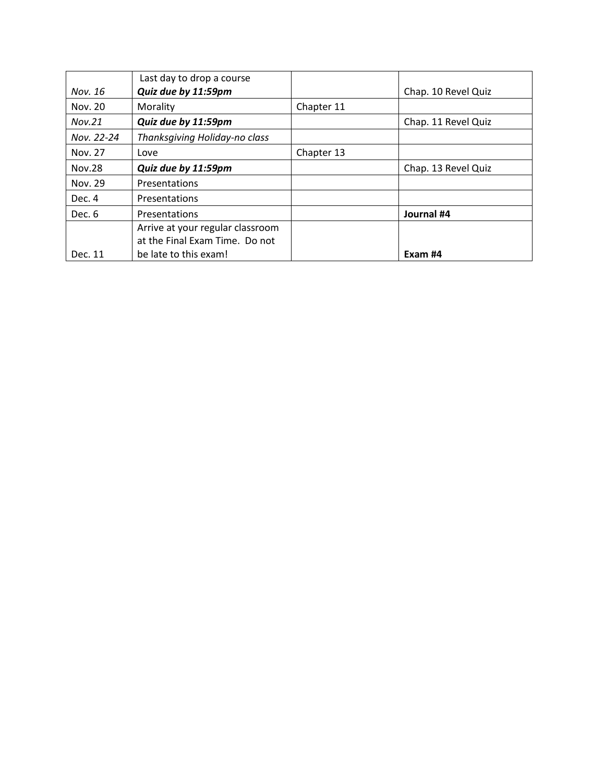|            | Last day to drop a course        |            |                     |
|------------|----------------------------------|------------|---------------------|
| Nov. 16    | Quiz due by 11:59pm              |            | Chap. 10 Revel Quiz |
| Nov. 20    | Morality                         | Chapter 11 |                     |
| Nov.21     | Quiz due by 11:59pm              |            | Chap. 11 Revel Quiz |
| Nov. 22-24 | Thanksgiving Holiday-no class    |            |                     |
| Nov. 27    | Love                             | Chapter 13 |                     |
| Nov.28     | Quiz due by 11:59pm              |            | Chap. 13 Revel Quiz |
| Nov. 29    | Presentations                    |            |                     |
| Dec. 4     | Presentations                    |            |                     |
| Dec. 6     | Presentations                    |            | Journal #4          |
|            | Arrive at your regular classroom |            |                     |
|            | at the Final Exam Time. Do not   |            |                     |
| Dec. 11    | be late to this exam!            |            | Exam #4             |